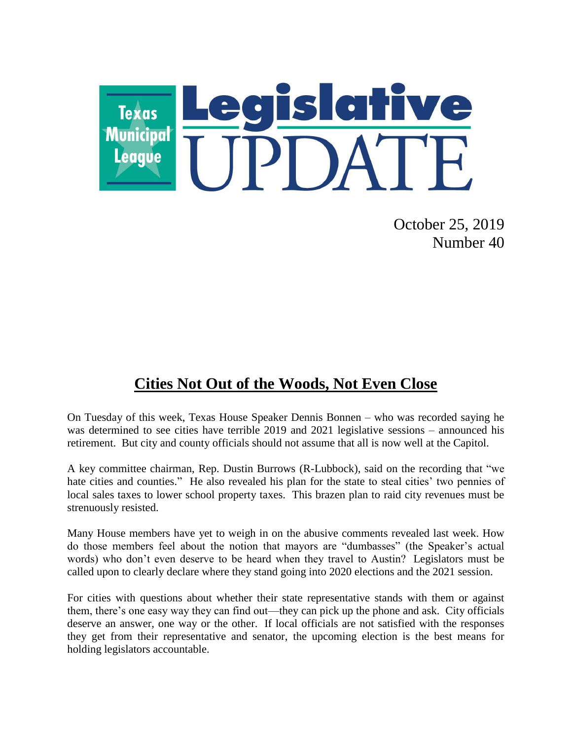

October 25, 2019 Number 40

## **Cities Not Out of the Woods, Not Even Close**

On Tuesday of this week, Texas House Speaker Dennis Bonnen – who was recorded saying he was determined to see cities have terrible 2019 and 2021 legislative sessions – announced his retirement. But city and county officials should not assume that all is now well at the Capitol.

A key committee chairman, Rep. Dustin Burrows (R-Lubbock), said on the recording that "we hate cities and counties." He also revealed his plan for the state to steal cities' two pennies of local sales taxes to lower school property taxes. This brazen plan to raid city revenues must be strenuously resisted.

Many House members have yet to weigh in on the abusive comments revealed last week. How do those members feel about the notion that mayors are "dumbasses" (the Speaker's actual words) who don't even deserve to be heard when they travel to Austin? Legislators must be called upon to clearly declare where they stand going into 2020 elections and the 2021 session.

For cities with questions about whether their state representative stands with them or against them, there's one easy way they can find out—they can pick up the phone and ask. City officials deserve an answer, one way or the other. If local officials are not satisfied with the responses they get from their representative and senator, the upcoming election is the best means for holding legislators accountable.